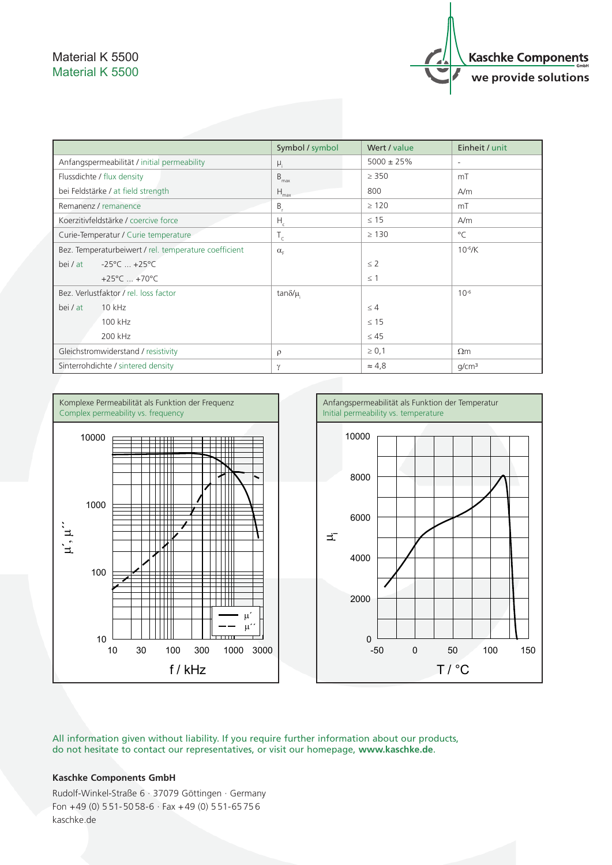## Material K 5500 Material K 5500



|                                                       | Symbol / symbol     | Wert / value    | Einheit / unit           |
|-------------------------------------------------------|---------------------|-----------------|--------------------------|
| Anfangspermeabilität / initial permeability           | $\mu_i$             | $5000 \pm 25\%$ | $\overline{\phantom{a}}$ |
| Flussdichte / flux density                            | $B_{max}$           | $\geq$ 350      | mT                       |
| bei Feldstärke / at field strength                    | $H_{\text{max}}$    | 800             | A/m                      |
| Remanenz / remanence                                  | $B_{r}$             | $\geq 120$      | mT                       |
| Koerzitivfeldstärke / coercive force                  | $H_c$               | $\leq$ 15       | A/m                      |
| Curie-Temperatur / Curie temperature                  | $T_c$               | $\geq$ 130      | $^{\circ}$ C             |
| Bez. Temperaturbeiwert / rel. temperature coefficient | $\alpha_{\epsilon}$ |                 | $10^{-6}$ /K             |
| $-25^{\circ}$ C $+25^{\circ}$ C<br>bei / at           |                     | $\leq$ 2        |                          |
| +25 $^{\circ}$ C  +70 $^{\circ}$ C                    |                     | $\leq$ 1        |                          |
| Bez. Verlustfaktor / rel. loss factor                 | tan $\delta/\mu$    |                 | $10^{-6}$                |
| 10 kHz<br>bei / at                                    |                     | $\leq 4$        |                          |
| 100 kHz                                               |                     | $\leq 15$       |                          |
| 200 kHz                                               |                     | $\leq 45$       |                          |
| Gleichstromwiderstand / resistivity                   | $\rho$              | $\geq 0,1$      | $\Omega$ m               |
| Sinterrohdichte / sintered density                    | $\gamma$            | $\approx 4.8$   | q/cm <sup>3</sup>        |



All information given without liability. If you require further information about our products, do not hesitate to contact our representatives, or visit our homepage, **www.kaschke.de**.

## **Kaschke Components GmbH**

Rudolf-Winkel-Straße 6 · 37079 Göttingen · Germany Fon  $+49$  (0) 551-5058-6  $\cdot$  Fax  $+49$  (0) 551-65756 kaschke.de